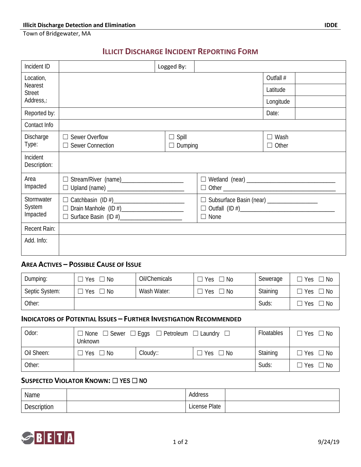Town of Bridgewater, MA

# **ILLICIT DISCHARGE INCIDENT REPORTING FORM**

| Incident ID              |                                                  | Logged By:     |                                             |              |
|--------------------------|--------------------------------------------------|----------------|---------------------------------------------|--------------|
| Location,<br>Nearest     |                                                  |                |                                             | Outfall #    |
| <b>Street</b>            |                                                  |                |                                             | Latitude     |
| Address.:                |                                                  |                |                                             | Longitude    |
| Reported by:             |                                                  |                |                                             | Date:        |
| Contact Info             |                                                  |                |                                             |              |
| Discharge                | $\Box$ Sewer Overflow                            | $\Box$ Spill   |                                             | $\Box$ Wash  |
| Type:                    | $\Box$ Sewer Connection                          | $\Box$ Dumping |                                             | $\Box$ Other |
| Incident<br>Description: |                                                  |                |                                             |              |
| Area                     |                                                  |                |                                             |              |
| Impacted                 |                                                  |                |                                             | $\Box$ Other |
| Stormwater               |                                                  |                | □ Subsurface Basin (near) _________________ |              |
| System                   | □ Drain Manhole (ID #)<br>□ Drain Manhole (ID #) |                |                                             |              |
| Impacted                 |                                                  |                | $\Box$ None                                 |              |
| Recent Rain:             |                                                  |                |                                             |              |
| Add. Info:               |                                                  |                |                                             |              |
|                          |                                                  |                |                                             |              |

#### **AREA ACTIVES – POSSIBLE CAUSE OF ISSUE**

| Dumping:       | Yes<br>No. | Oil/Chemicals | Yes<br>$\Box$ No  | Sewerage | $\Box$ No<br>Yes |
|----------------|------------|---------------|-------------------|----------|------------------|
| Septic System: | Yes<br>No. | Wash Water:   | $\lnot$ No<br>Yes | Staining | ∃ No<br>Yes      |
| Other:         |            |               |                   | Suds:    | No<br>Yes        |

## **INDICATORS OF POTENTIAL ISSUES – FURTHER INVESTIGATION RECOMMENDED**

| Odor:      | $\Box$ None $\Box$ Sewer $\Box$ Eggs $\Box$ Petroleum $\Box$ Laundry $\Box$<br>Unknown |             |           | Floatables | $\Box$ Yes $\Box$ No |
|------------|----------------------------------------------------------------------------------------|-------------|-----------|------------|----------------------|
| Oil Sheen: | ⊃ Yes □ No                                                                             | $Cloudy$ :: | lYes □ No | Staining   | $\Box$ Yes $\Box$ No |
| Other:     |                                                                                        |             |           | Suds:      | $\Box$ Yes $\Box$ No |

#### **SUSPECTED VIOLATOR KNOWN:** ☐ **YES** ☐ **NO**

| Name        | Address       |  |
|-------------|---------------|--|
| Description | License Plate |  |